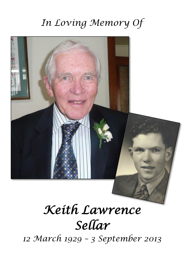## *In Loving Memory Of*



# *Keith Lawrence Sellar*

*12 March 1929 – 3 September 2013*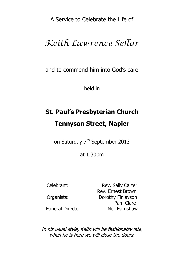A Service to Celebrate the Life of

### *Keith Lawrence Sellar*

and to commend him into God's care

held in

## **St. Paul's Presbyterian Church Tennyson Street, Napier**

on Saturday 7<sup>th</sup> September 2013

at 1.30pm

 $\overline{\phantom{a}}$  , where  $\overline{\phantom{a}}$  , where  $\overline{\phantom{a}}$  , where  $\overline{\phantom{a}}$  ,  $\overline{\phantom{a}}$  ,  $\overline{\phantom{a}}$  ,  $\overline{\phantom{a}}$  ,  $\overline{\phantom{a}}$  ,  $\overline{\phantom{a}}$  ,  $\overline{\phantom{a}}$  ,  $\overline{\phantom{a}}$  ,  $\overline{\phantom{a}}$  ,  $\overline{\phantom{a}}$  ,  $\overline{\phantom{a}}$  ,  $\overline{\phantom$ 

Celebrant: Rev. Sally Carter Rev. Ernest Brown Organists: Dorothy Finlayson Pam Clare Funeral Director: Neil Earnshaw

In his usual style, Keith will be fashionably late, when he is here we will close the doors.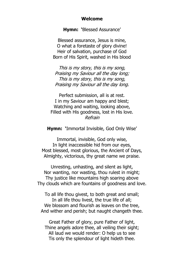#### **Welcome**

**Hymn: '**Blessed Assurance'

Blessed assurance, Jesus is mine, O what a foretaste of glory divine! Heir of salvation, purchase of God Born of His Spirit, washed in His blood

This is my story, this is my song, Praising my Saviour all the day long; This is my story, this is my song, Praising my Saviour all the day long.

Perfect submission, all is at rest. I in my Saviour am happy and blest; Watching and waiting, looking above, Filled with His goodness, lost in His love. Refrain

**Hymn: '**Immortal Invisible, God Only Wise'

Immortal, invisible, God only wise, In light inaccessible hid from our eyes, Most blessed, most glorious, the Ancient of Days, Almighty, victorious, thy great name we praise.

Unresting, unhasting, and silent as light, Nor wanting, nor wasting, thou rulest in might; Thy justice like mountains high soaring above Thy clouds which are fountains of goodness and love.

To all life thou givest, to both great and small; In all life thou livest, the true life of all; We blossom and flourish as leaves on the tree. And wither and perish; but naught changeth thee.

Great Father of glory, pure Father of light, Thine angels adore thee, all veiling their sight; All laud we would render: O help us to see Tis only the splendour of light hideth thee.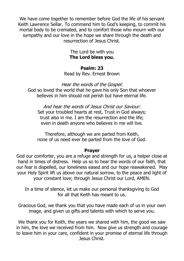We have come together to remember before God the life of his servant Keith Lawrence Sellar. To commend him to God's keeping, to commit his mortal body to be cremated, and to comfort those who mourn with our sympathy and our love in the hope we share through the death and resurrection of Jesus Christ.

> The Lord be with you **The Lord bless you.**

#### **Psalm: 23**

Read by Rev. Ernest Brown

Hear the words of the Gospel:

God so loved the world that he gave his only Son that whoever believes in him should not perish but have eternal life.

And hear the words of Jesus Christ our Saviour: Set your troubled hearts at rest, Trust in God always; trust also in me. I am the resurrection and the life; even in death anyone who believes in me will live.

Therefore, although we are parted from Keith, none of us need ever be parted from the love of God.

#### **Prayer**

God our comforter, you are a refuge and strength for us, a helper close at hand in times of distress. Help us so to hear the words of our faith, that our fear is dispelled, our loneliness eased and our hope reawakened. May your Holy Spirit lift us above our natural sorrow, to the peace and light of your constant love; through Jesus Christ our Lord, AMEN.

In a time of silence, let us make our personal thanksgiving to God for all that Keith has meant to us.

Gracious God, we thank you that you have made each of us in your own image, and given us gifts and talents with which to serve you.

We thank you for Keith, the years we shared with him, the good we saw in him, the love we received from him. Now give us strength and courage to leave him in your care, confident in your promise of eternal life through Jesus Christ.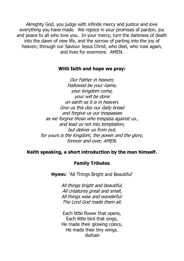Almighty God, you judge with infinite mercy and justice and love everything you have made. We rejoice in your promises of pardon, joy and peace to all who love you. In your mercy, turn the darkness of death into the dawn of new life, and the sorrow of parting into the joy of heaven: through our Saviour Jesus Christ, who died, who rose again, and lives for evermore. AMEN

#### **With faith and hope we pray:**

Our Father in heaven, Hallowed be your name, your kingdom come, your will be done on earth as it is in heaven. Give us this day our daily bread and forgive us our trespasses as we forgive those who trespass against us., and lead us not into temptation, but deliver us from evil, for yours is the kingdom, the power and the glory, forever and ever, AMEN.

#### **Keith speaking, a short introduction by the man himself.**

#### **Family Tributes**

**Hymn:** 'All Things Bright and Beautiful'

All things bright and beautiful, All creatures great and small, All things wise and wonderful: The Lord God made them all.

Each little flower that opens, Each little bird that sings, He made their glowing colors, He made their tiny wings. Refrain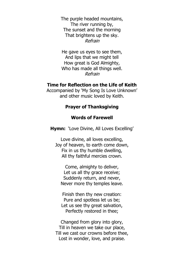The purple headed mountains, The river running by, The sunset and the morning That brightens up the sky. Refrain

He gave us eyes to see them, And lips that we might tell How great is God Almighty, Who has made all things well. Refrain

#### **Time for Reflection on the Life of Keith**

Accompanied by 'My Song Is Love Unknown' and other music loved by Keith.

#### **Prayer of Thanksgiving**

#### **Words of Farewell**

**Hymn:** 'Love Divine, All Loves Excelling'

Love divine, all loves excelling, Joy of heaven, to earth come down, Fix in us thy humble dwelling, All thy faithful mercies crown.

Come, almighty to deliver, Let us all thy grace receive; Suddenly return, and never, Never more thy temples leave.

Finish then thy new creation: Pure and spotless let us be; Let us see thy great salvation, Perfectly restored in thee;

Changed from glory into glory, Till in heaven we take our place, Till we cast our crowns before thee, Lost in wonder, love, and praise.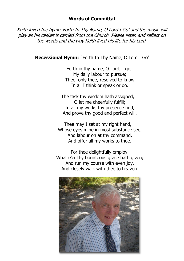#### **Words of Committal**

Keith loved the hymn 'Forth In Thy Name, O Lord I Go' and the music will play as his casket is carried from the Church. Please listen and reflect on the words and the way Keith lived his life for his Lord.

**Recessional Hymn:** 'Forth In Thy Name, O Lord I Go'

 Forth in thy name, O Lord, I go, My daily labour to pursue; Thee, only thee, resolved to know In all I think or speak or do.

 The task thy wisdom hath assigned, O let me cheerfully fulfill; In all my works thy presence find, And prove thy good and perfect will.

 Thee may I set at my right hand, Whose eyes mine in-most substance see. And labour on at thy command, And offer all my works to thee.

 For thee delightfully employ What e'er thy bounteous grace hath given; And run my course with even joy, And closely walk with thee to heaven.